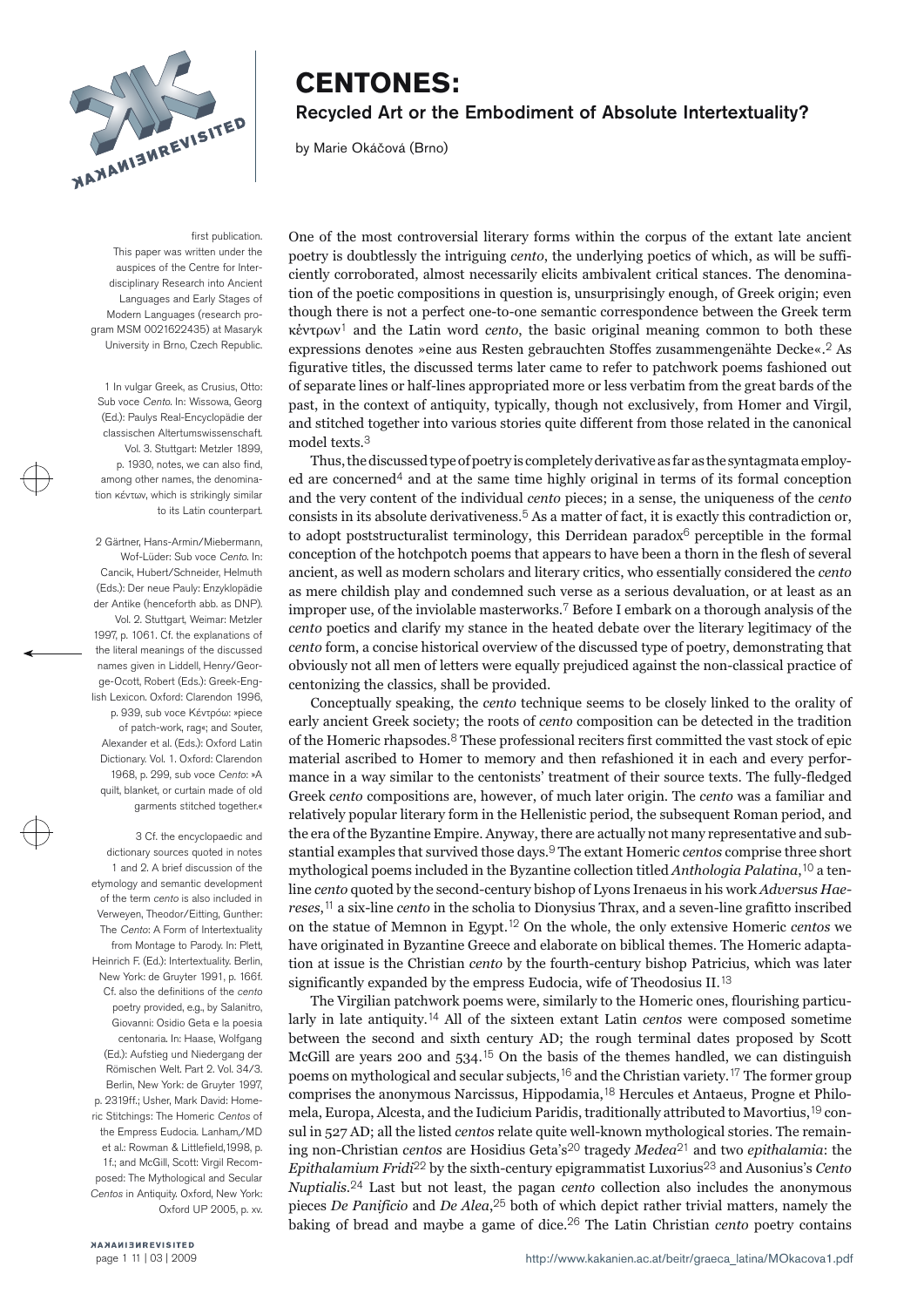

# **CENTONES:** Recycled Art or the Embodiment of Absolute Intertextuality?

by Marie Okáčová (Brno)

first publication This paper was written under the auspices of the Centre for Interdisciplinary Research into Ancient Languages and Early Stages of Modern Languages (research program MSM 0021622435) at Masaryk University in Brno, Czech Republic.

1 In vulgar Greek, as Crusius, Otto: Sub voce Cento. In: Wissowa, Georg (Ed.): Paulys Real-Encyclopädie der classischen Altertumswissenschaft. Vol. 3. Stuttgart: Metzler 1899, p. 1930, notes, we can also find, among other names, the denomination κέντων, which is strikingly similar to its Latin counterpart.

2 Gärtner, Hans-Armin/Miebermann, Wof-Lüder: Sub voce Cento. In: Cancik, Hubert/Schneider, Helmuth (Eds.): Der neue Pauly: Enzyklopädie der Antike (henceforth abb. as DNP). Vol. 2. Stuttgart, Weimar: Metzler 1997, p. 1061. Cf. the explanations of the literal meanings of the discussed names given in Liddell, Henry/George-Ocott, Robert (Eds.): Greek-English Lexicon. Oxford: Clarendon 1996, p. 939, sub voce Kέντρόω: »piece of patch-work, rag«; and Souter, Alexander et al. (Eds.): Oxford Latin Dictionary. Vol. 1. Oxford: Clarendon 1968, p. 299, sub voce Cento: »A quilt, blanket, or curtain made of old garments stitched together.«

3 Cf. the encyclopaedic and dictionary sources quoted in notes 1 and 2. A brief discussion of the etymology and semantic development of the term cento is also included in Verweyen, Theodor/Eitting, Gunther: The Cento: A Form of Intertextuality from Montage to Parody. In: Plett, Heinrich F. (Ed.): Intertextuality. Berlin, New York: de Gruyter 1991, p. 166f. Cf. also the definitions of the cento poetry provided, e.g., by Salanitro, Giovanni: Osidio Geta e la poesia centonaria. In: Haase, Wolfgang (Ed.): Aufstieg und Niedergang der Römischen Welt. Part 2. Vol. 34/3. Berlin, New York: de Gruyter 1997, p. 2319ff.; Usher, Mark David: Homeric Stitchings: The Homeric Centos of the Empress Eudocia. Lanham,/MD et al.: Rowman & Littlefield,1998, p. 1f.; and McGill, Scott: Virgil Recomposed: The Mythological and Secular Centos in Antiquity. Oxford, New York: Oxford UP 2005, p. xv. One of the most controversial literary forms within the corpus of the extant late ancient poetry is doubtlessly the intriguing *cento*, the underlying poetics of which, as will be suffi ciently corroborated, almost necessarily elicits ambivalent critical stances. The denomina tion of the poetic compositions in question is, unsurprisingly enough, of Greek origin; even<br>though there is not a perfect one-to-one semantic correspondence between the Greek term<br>kevrow<sup>1</sup> and the Latin word *cento*, th

Thus, the discussed type of poetry is completely derivative as far as the syntagmata employ ed are concerned<sup>4</sup> and at the same time highly original in terms of its formal conception and the very content of the individual *cento* pieces; in a sense, the uniqueness of the *cento* consists in its absolute derivativeness.<sup>5</sup> As a matter of fact, it is exactly this contradiction or, to adopt poststructuralist terminology, this Derridean paradox<sup>6</sup> perceptible in the formal conception of the hotchpotc as mere childish play and condemned such verse as a serious devaluation, or at least as an improper use, of the inviolable masterworks.<sup>7</sup> Before I embark on a thorough analysis of the *cento* poetics and clarify my stance in the heated debate over the literary legitimacy of the cento form, a concise historical overview of the discussed type of poetry, demonstrating that obviously not all men of letters were equally prejudiced against the non-classical practice of centonizing the classics, shall b

Conceptually speaking, the *cento* technique seems to be closely linked to the orality of early ancient Greek society; the roots of *cento* composition can be detected in the tradition of the Homeric rhapsodes.<sup>8</sup> These p mance in a way similar to the centonists' treatment of their source texts. The fully-fledged<br>Greek *cento* compositions are, however, of much later origin. The *cento* was a familiar and<br>relatively popular literary form in stantial examples that survived those days.9 The extant Homeric *centos* comprise three short mythological poems included in the Byzantine collection titled *Anthologia Palatina*,10 a ten line *cento* quoted by the second-century bishop of Lyons Irenaeus in his work *Adversus Hae*reses,<sup>11</sup> a six-line *cento* in the scholia to Dionysius Thrax, and a seven-line grafitto inscribed<br>on the statue of Memnon in Egypt.<sup>12</sup> On the whole, the only extensive Homeric *centos* we<br>have originated in Byzantine tion at issue is the Christian *cento* by the fourth-century bishop Patricius, which was later significantly expanded by the empress Eudocia, wife of Theodosius II.<sup>13</sup>

The Virgilian patchwork poems were, similarly to the Homeric ones, flourishing particu larly in late antiquity.<sup>14</sup> All of the sixteen extant Latin *centos* were composed sometime between the second and sixth century AD; the rough terminal dates proposed by Scott McGill are years 200 and 534.<sup>15</sup> On the bas mela, Europa, Alcesta, and the Iudicium Paridis, traditionally attributed to Mavortius,19 con sul in 527 AD; all the listed *centos* relate quite well-known mythological stories. The remain ing non-Christian *centos* are Hosidius Geta's20 tragedy *Medea*21 and two *epithalamia*: the *Epithalamium Fridi*<sup>22</sup> by the sixth-century epigrammatist Luxorius<sup>23</sup> and Ausonius's *Cento Nuptialis.*<sup>24</sup> Last but not least, the pagan *cento* collection also includes the anonymous pieces *De Panificio* and *De Alea*,<sup>25</sup> both of which depict rather trivial matters, namely the baking of bread and maybe a ga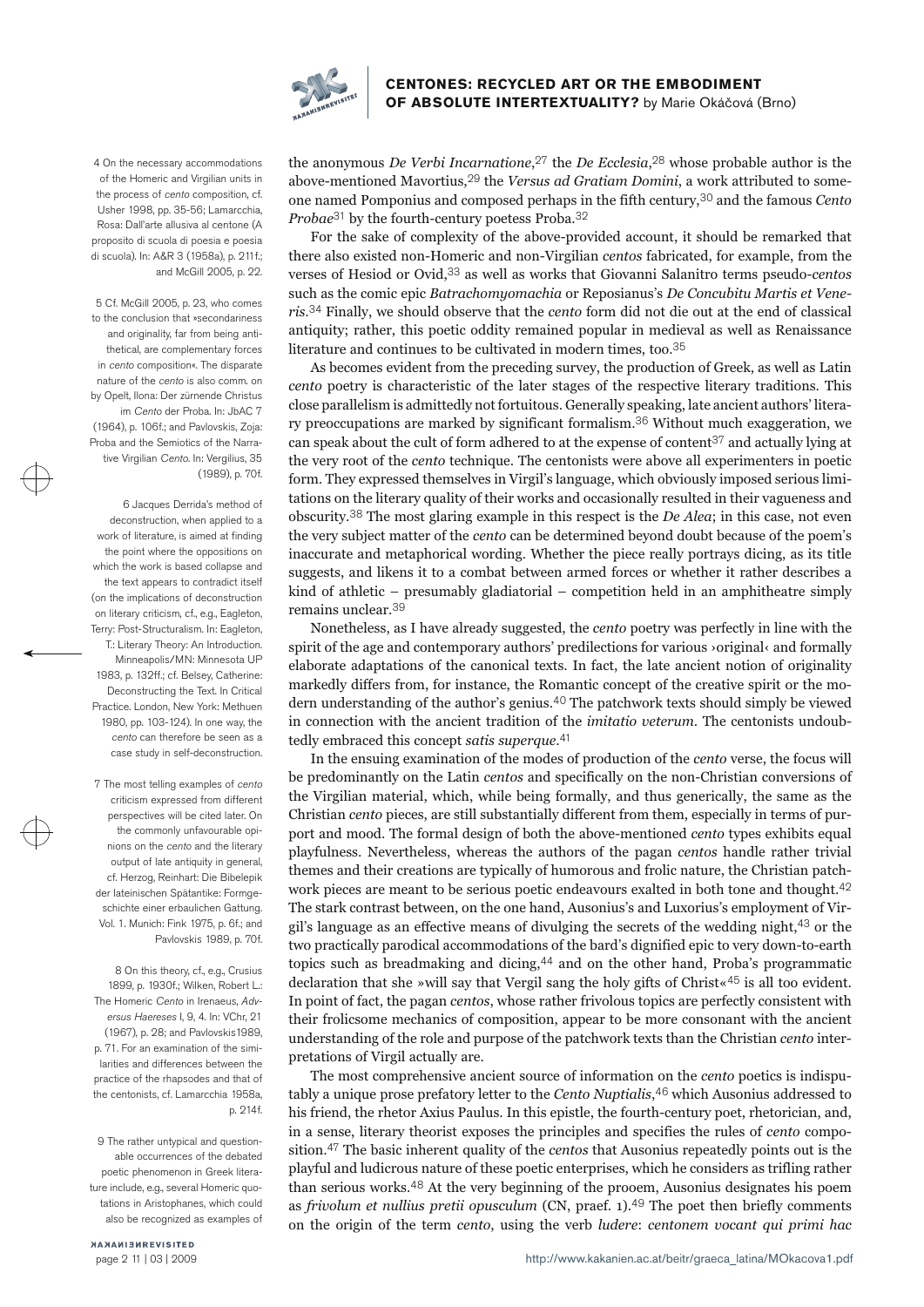

4 On the necessary accommodations of the Homeric and Virgilian units in the process of cento composition, cf. Usher 1998, pp. 35-56; Lamarcchia, Rosa: Dall'arte allusiva al centone (A proposito di scuola di poesia e poesia di scuola). In: A&R 3 (1958a), p. 211f.; and McGill 2005, p. 22.

5 Cf. McGill 2005, p. 23, who comes to the conclusion that »secondariness and originality, far from being antithetical, are complementary forces in cento composition«. The disparate nature of the cento is also comm. on by Opelt, Ilona: Der zürnende Christus im Cento der Proba. In: JbAC 7 (1964), p. 106f.; and Pavlovskis, Zoja: Proba and the Semiotics of the Narrative Virgilian Cento. In: Vergilius, 35 (1989), p. 70f.

6 Jacques Derrida's method of deconstruction, when applied to a work of literature, is aimed at finding the point where the oppositions on which the work is based collapse and the text appears to contradict itself (on the implications of deconstruction on literary criticism, cf., e.g., Eagleton, Terry: Post-Structuralism. In: Eagleton, T.: Literary Theory: An Introduction. Minneapolis/MN: Minnesota UP 1983, p. 132ff.; cf. Belsey, Catherine: Deconstructing the Text. In Critical Practice. London, New York: Methuen 1980, pp. 103-124). In one way, the cento can therefore be seen as a case study in self-deconstruction.

7 The most telling examples of cento criticism expressed from different perspectives will be cited later. On the commonly unfavourable opinions on the cento and the literary output of late antiquity in general, cf. Herzog, Reinhart: Die Bibelepik der lateinischen Spätantike: Formgeschichte einer erbaulichen Gattung. Vol. 1. Munich: Fink 1975, p. 6f.; and Pavlovskis 1989, p. 70f.

8 On this theory, cf., e.g., Crusius 1899, p. 1930f.; Wilken, Robert L.: The Homeric Cento in Irenaeus, Adversus Haereses I, 9, 4. In: VChr, 21 (1967), p. 28; and Pavlovskis1989, p. 71. For an examination of the similarities and differences between the practice of the rhapsodes and that of the centonists, cf. Lamarcchia 1958a, p. 214f.

9 The rather untypical and questionable occurrences of the debated poetic phenomenon in Greek literature include, e.g., several Homeric quotations in Aristophanes, which could also be recognized as examples of

NANAMISHREVISITED page 2 11 | 03 | 2009 the anonymous *De Verbi Incarnatione*,<sup>27</sup> the *De Ecclesia*,<sup>28</sup> whose probable author is the above-mentioned Mavortius,<sup>29</sup> the *Versus ad Gratiam Domini*, a work attributed to someone named Pomponius and composed perhaps in the fifth century,30 and the famous *Cento Probae*31 by the fourth-century poetess Proba.32

For the sake of complexity of the above-provided account, it should be remarked that<br>there also existed non-Homeric and non-Virgilian *centos* fabricated, for example, from the<br>verses of Hesiod or Ovid,<sup>33</sup> as well as work such as the comic epic *Batrachomyomachia* or Reposianus's *De Concubitu Martis et Veneris*.<sup>34</sup> Finally, we should observe that the *cento* form did not die out at the end of classical antiquity; rather, this poetic oddity remained popular in medieval as well as Renaissance literature and continues to be

As becomes evident from the preceding survey, the production of Greek, as well as Latin *cento* poetry is characteristic of the later stages of the respective literary traditions. This close parallelism is admittedly not fortuitous. Generally speaking, late ancient authors' litera ry preoccupations are marked by significant formalism.<sup>36</sup> Without much exaggeration, we can speak about the cult of form adhered to at the expense of content<sup>37</sup> and actually lying at the very root of the *cento* techniq tations on the literary quality of their works and occasionally resulted in their vagueness and obscurity.<sup>38</sup> The most glaring example in this respect is the *De Alea*; in this case, not even the very subject matter of t

Nonetheless, as I have already suggested, the *cento* poetry was perfectly in line with the spirit of the age and contemporary authors' predilections for various *>original*<ar/>and formally elaborate adaptations of the ca dern understanding of the author's genius.<sup>40</sup> The patchwork texts should simply be viewed in connection with the ancient tradition of the *imitatio veterum*. The centonists undoub tedly embraced this concept *satis superque*.41

In the ensuing examination of the modes of production of the *cento* verse, the focus will<br>be predominantly on the Latin *centos* and specifically on the non-Christian conversions of<br>the Virgilian material, which, while be port and mood. The formal design of both the above-mentioned *cento* types exhibits equal playfulness. Nevertheless, whereas the authors of the pagan *centos* handle rather trivial themes and their creations are typically work pieces are meant to be serious poetic endeavours exalted in both tone and thought.<sup>42</sup> The stark contrast between, on the one hand, Ausonius's and Luxorius's employment of Vir gil's language as an effective means of divulging the secrets of the wedding night,<sup>43</sup> or the two practically parodical accommodations of the bard's dignified epic to very down-to-earth topics such as breadmaking and dic pretations of Virgil actually are.

The most comprehensive ancient source of information on the *cento* poetics is indispu tably a unique prose prefatory letter to the *Cento Nuptialis*, $46$  which Ausonius addressed to his friend, the rhetor Axius Paulus. In this epistle, the fourth-century poet, rhetorician, and, in a sense, literary theoris sition.<sup>47</sup> The basic inherent quality of the *centos* that Ausonius repeatedly points out is the playful and ludicrous nature of these poetic enterprises, which he considers as trifling rather than serious works.<sup>48</sup> At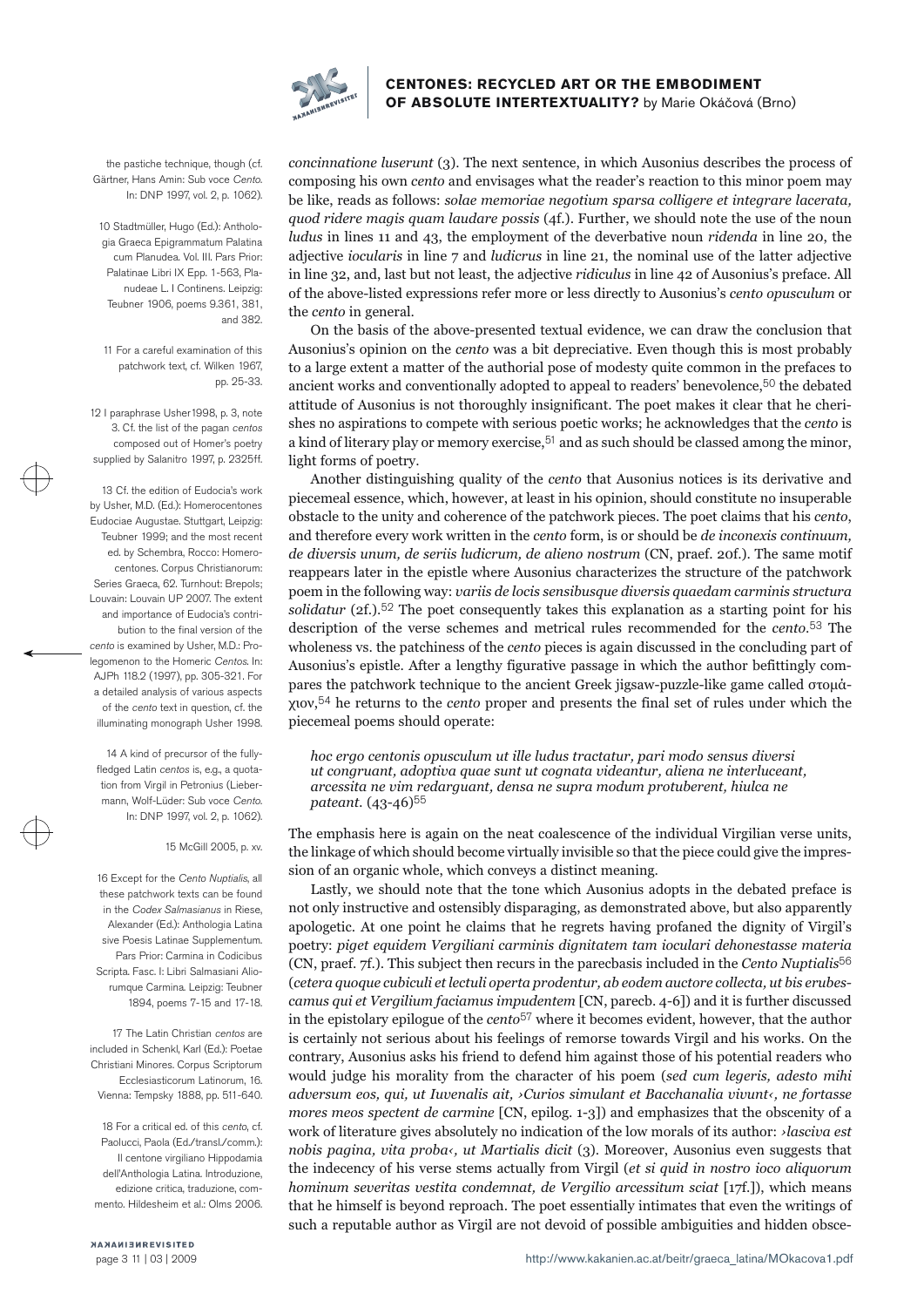

the pastiche technique, though (cf. Gärtner, Hans Amin: Sub voce Cento. In: DNP 1997, vol. 2, p. 1062).

10 Stadtmüller, Hugo (Ed.): Anthologia Graeca Epigrammatum Palatina cum Planudea. Vol. III. Pars Prior: Palatinae Libri IX Epp. 1-563, Planudeae L. I Continens. Leipzig: Teubner 1906, poems 9.361, 381, and 382.

11 For a careful examination of this patchwork text, cf. Wilken 1967, pp. 25-33.

12 I paraphrase Usher1998, p. 3, note 3. Cf. the list of the pagan centos composed out of Homer's poetry supplied by Salanitro 1997, p. 2325ff.

13 Cf. the edition of Eudocia's work by Usher, M.D. (Ed.): Homerocentones Eudociae Augustae. Stuttgart, Leipzig: Teubner 1999; and the most recent ed. by Schembra, Rocco: Homerocentones. Corpus Christianorum: Series Graeca, 62. Turnhout: Brepols; Louvain: Louvain UP 2007. The extent and importance of Eudocia's contribution to the final version of the cento is examined by Usher, M.D.: Prolegomenon to the Homeric Centos. In: AJPh 118.2 (1997), pp. 305-321. For a detailed analysis of various aspects of the cento text in question, cf. the illuminating monograph Usher 1998.

14 A kind of precursor of the fullyfledged Latin centos is, e.g., a quotation from Virgil in Petronius (Liebermann, Wolf-Lüder: Sub voce Cento. In: DNP 1997, vol. 2, p. 1062).

15 McGill 2005, p. xv.

16 Except for the Cento Nuptialis, all these patchwork texts can be found in the Codex Salmasianus in Riese, Alexander (Ed.): Anthologia Latina sive Poesis Latinae Supplementum. Pars Prior: Carmina in Codicibus Scripta. Fasc. I: Libri Salmasiani Aliorumque Carmina. Leipzig: Teubner 1894, poems 7-15 and 17-18.

17 The Latin Christian centos are included in Schenkl, Karl (Ed.): Poetae Christiani Minores. Corpus Scriptorum Ecclesiasticorum Latinorum, 16. Vienna: Tempsky 1888, pp. 511-640.

18 For a critical ed. of this cento, cf. Paolucci, Paola (Ed./transl./comm.): Il centone virgiliano Hippodamia dell'Anthologia Latina. Introduzione, edizione critica, traduzione, commento. Hildesheim et al.: Olms 2006.

concinnatione luserunt (3). The next sentence, in which Ausonius describes the process of composing his own cento and envisages what the reader's reaction to this minor poem may be like, reads as follows: *solae memoriae n quod ridere magis quam laudare possis* (4f.). Further, we should note the use of the noun

*ludus* in lines 11 and 43, the employment of the deverbative noun *ridenda* in line 20, the adjective *iocularis* in line 7 and *ludicrus* in line 21, the nominal use of the latter adjective in line 32, and, last but not

shes no aspirations to compete with serious poetic works; he acknowledges that the *cento* is a kind of literary play or memory exercise,  $51$  and as such should be classed among the minor, light forms of poetry.<br>Another de diversis unum, de seriis ludicrum, de alieno nostrum (CN, praef. 20f.). The same motif reappears later in the epistle where Ausonius characterizes the structure of the patchwork poem in the following way: variis de loci solidatur (2f.).<sup>52</sup> The poet consequently takes this explanation as a starting point for his description of the verse schemes and metrical rules recommended for the *cento*.<sup>53</sup> The wholeness vs. the patchiness of the *c* pares the patchwork technique to the ancient Greek jigsaw-puzzle-like game called στομά χιον,54 he returns to the *cento* proper and presents the final set of rules under which the piecemeal poems should operate:

*hoc ergo centonis opusculum ut ille ludus tractatur, pari modo sensus diversi ut congruant, adoptiva quae sunt ut cognata videantur, aliena ne interluceant, arcessita ne vim redarguant, densa ne supra modum protuberent, hiulca ne* 

*pateant.* (43-46)<sup>55</sup><br>The emphasis here is again on the neat coalescence of the individual Virgilian verse units,<br>the linkage of which should become virtually invisible so that the piece could give the impres-

sion of an organic whole, which conveys a distinct meaning.<br>Lastly, we should note that the tone which Ausonius adopts in the debated preface is<br>not only instructive and ostensibly disparaging, as demonstrated above, but a (CN, praef. 7f.). This subject then recurs in the parecbasis included in the *Cento Nuptialis*56 (*cetera quoque cubiculi et lectuli operta prodentur, ab eodem auctore collecta, ut bis erubes*camus qui et Vergilium faciamus impudentem [CN, parecb. 4-6]) and it is further discussed<br>in the epistolary epilogue of the cento<sup>57</sup> where it becomes evident, however, that the author<br>is certainly not serious about his f *adversum eos, qui, ut Iuvenalis ait, ›Curios simulant et Bacchanalia vivunt‹, ne fortasse mores meos spectent de carmine* [CN, epilog. 1-3]) and emphasizes that the obscenity of a work of literature gives absolutely no indication of the low morals of its author: *>lasciva est nobis pagina, vita proba‹, ut Martialis dicit* (3). Moreover, Ausonius even suggests that the indecency of his verse stems actually from Virgil (*et si quid in nostro ioco aliquorum*  hominum severitas vestita condemnat, de Vergilio arcessitum sciat [17f.]), which means<br>that he himself is beyond reproach. The poet essentially intimates that even the writings of<br>such a reputable author as Virgil are not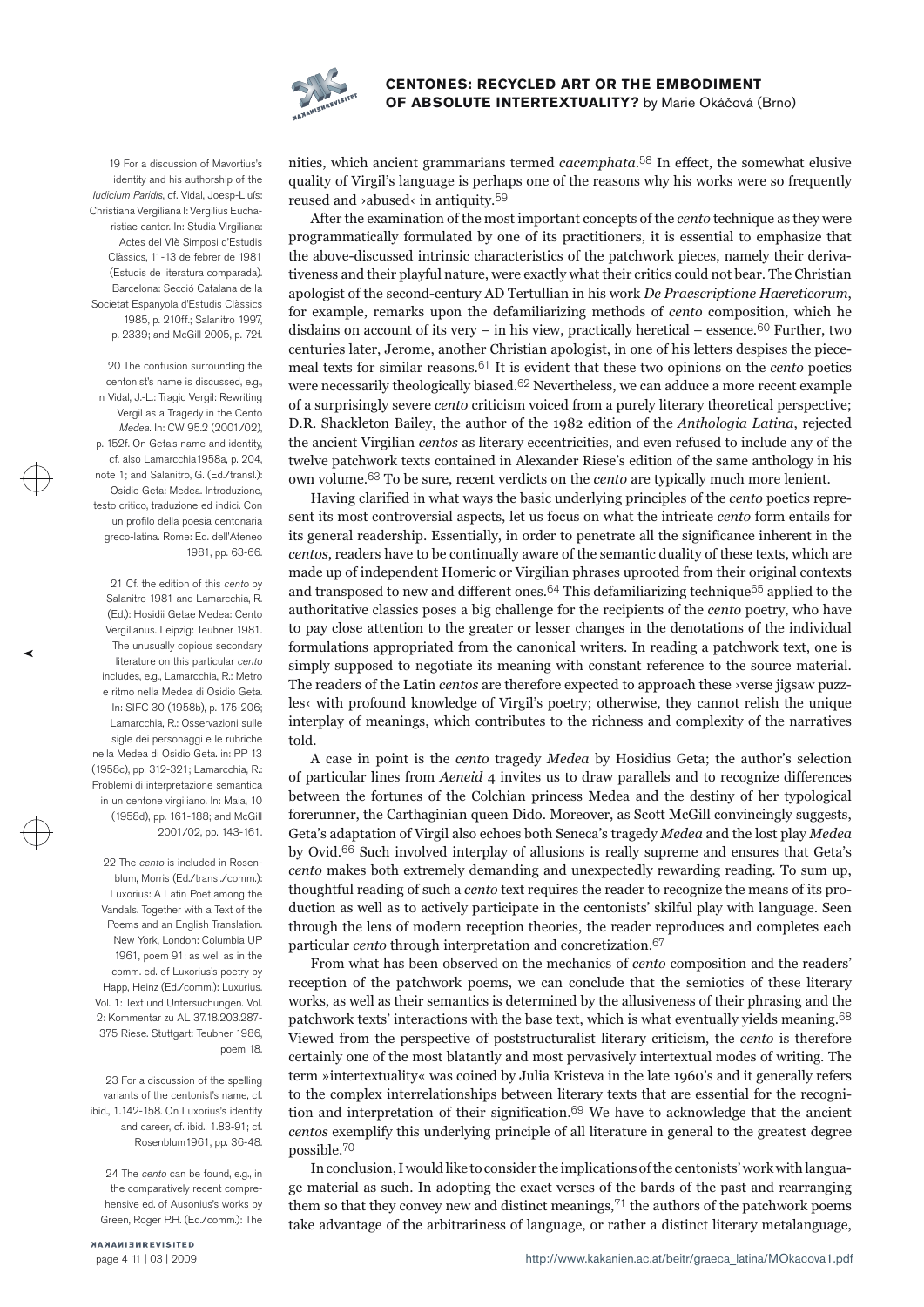

19 For a discussion of Mavortius's identity and his authorship of the Iudicium Paridis, cf. Vidal, Joesp-Lluís: Christiana Vergiliana I: Vergilius Eucharistiae cantor. In: Studia Virgiliana: Actes del VIè Simposi d'Estudis Clàssics, 11-13 de febrer de 1981 (Estudis de literatura comparada). Barcelona: Secció Catalana de la Societat Espanyola d'Estudis Clàssics 1985, p. 210ff · Salanitro 1997 p. 2339; and McGill 2005, p. 72f.

20 The confusion surrounding the centonist's name is discussed, e.g., in Vidal, J.-L.: Tragic Vergil: Rewriting Vergil as a Tragedy in the Cento Medea. In: CW 95.2 (2001/02), p. 152f. On Geta's name and identity, cf. also Lamarcchia1958a, p. 204, note 1; and Salanitro, G. (Ed./transl.): Osidio Geta: Medea. Introduzione, testo critico, traduzione ed indici. Con un profilo della poesia centonaria greco-latina. Rome: Ed. dell'Ateneo 1981, pp. 63-66.

21 Cf. the edition of this cento by Salanitro 1981 and Lamarcchia, R. (Ed.): Hosidii Getae Medea: Cento Vergilianus. Leipzig: Teubner 1981. The unusually copious secondary literature on this particular cento includes, e.g., Lamarcchia, R.: Metro e ritmo nella Medea di Osidio Geta. In: SIFC 30 (1958b), p. 175-206; Lamarcchia, R.: Osservazioni sulle sigle dei personaggi e le rubriche nella Medea di Osidio Geta. in: PP 13 (1958c), pp. 312-321; Lamarcchia, R.: Problemi di interpretazione semantica in un centone virgiliano. In: Maia, 10 (1958d), pp. 161-188; and McGill 2001/02, pp. 143-161.

22 The *cento* is included in Rosenblum, Morris (Ed./transl./comm.): Luxorius: A Latin Poet among the Vandals. Together with a Text of the Poems and an English Translation. New York, London: Columbia UP 1961, poem 91; as well as in the comm. ed. of Luxorius's poetry by Happ, Heinz (Ed./comm.): Luxurius. Vol. 1: Text und Untersuchungen. Vol. 2: Kommentar zu AL 37.18.203.287- 375 Riese. Stuttgart: Teubner 1986, poem 18

23 For a discussion of the spelling variants of the centonist's name, cf. ibid., 1.142-158. On Luxorius's identity and career, cf. ibid., 1.83-91; cf. Rosenblum1961, pp. 36-48.

24 The cento can be found, e.g., in the comparatively recent comprehensive ed. of Ausonius's works by Green, Roger P.H. (Ed./comm.): The

NANAMISHREVISITED page 4 11 | 03 | 2009 nities, which ancient grammarians termed *cacemphata*.<sup>58</sup> In effect, the somewhat elusive quality of Virgil's language is perhaps one of the reasons why his works were so frequently reused and >abused‹ in antiquity.<sup>59</sup>

After the examination of the most important concepts of the *cento* technique as they were<br>programmatically formulated by one of its practitioners, it is essential to emphasize that<br>the above-discussed intrinsic characteri tiveness and their playful nature, were exactly what their critics could not bear. The Christian<br>apologist of the second-century AD Tertullian in his work *De Praescriptione Haereticorum*,<br>for example, remarks upon the de meal texts for similar reasons.<sup>61</sup> It is evident that these two opinions on the *cento* poetics were necessarily theologically biased.<sup>62</sup> Nevertheless, we can adduce a more recent example of a surprisingly severe *cento* 

sent its most controversial aspects, let us focus on what the intricate *cento* form entails for its general readership. Essentially, in order to penetrate all the significance inherent in the centos, readers have to be continually aware of the semantic duality of these texts, which are<br>made up of independent Homeric or Virgilian phrases uprooted from their original contexts<br>and transposed to new and different

les<br/> $\cdot$  with profound knowledge of Virgil's poetry; otherwise, they cannot relish the unique interplay of meanings, which contributes to the richness and complexity of the narratives told.<br>A case in point is the *cen* by Ovid.66 Such involved interplay of allusions is really supreme and ensures that Geta's *cento* makes both extremely demanding and unexpectedly rewarding reading. To sum up, thoughtful reading of such a *cento* text requires the reader to recognize the means of its pro duction as well as to actively participate in the centonists' skilful play with language. Seen<br>through the lens of modern reception theories, the reader reproduces and completes each<br>particular *cento* through interpretat

From what has been observed on the mechanics of *cento* composition and the readers' reception of the patchwork poems, we can conclude that the semiotics of these literary works, as well as their semantics is determined by Viewed from the perspective of poststructuralist literary criticism, the *cento* is therefore certainly one of the most blatantly and most pervasively intertextual modes of writing. The term »intertextuality« was coined by tion and interpretation of their signification.69 We have to acknowledge that the ancient *centos* exemplify this underlying principle of all literature in general to the greatest degree possible.<sup>70</sup>

In conclusion, I would like to consider the implications of the centonists' work with langua ge material as such. In adopting the exact verses of the bards of the past and rearranging<br>them so that they convey new and distinct meanings,<sup>71</sup> the authors of the patchwork poems<br>take advantage of the arbitrariness of l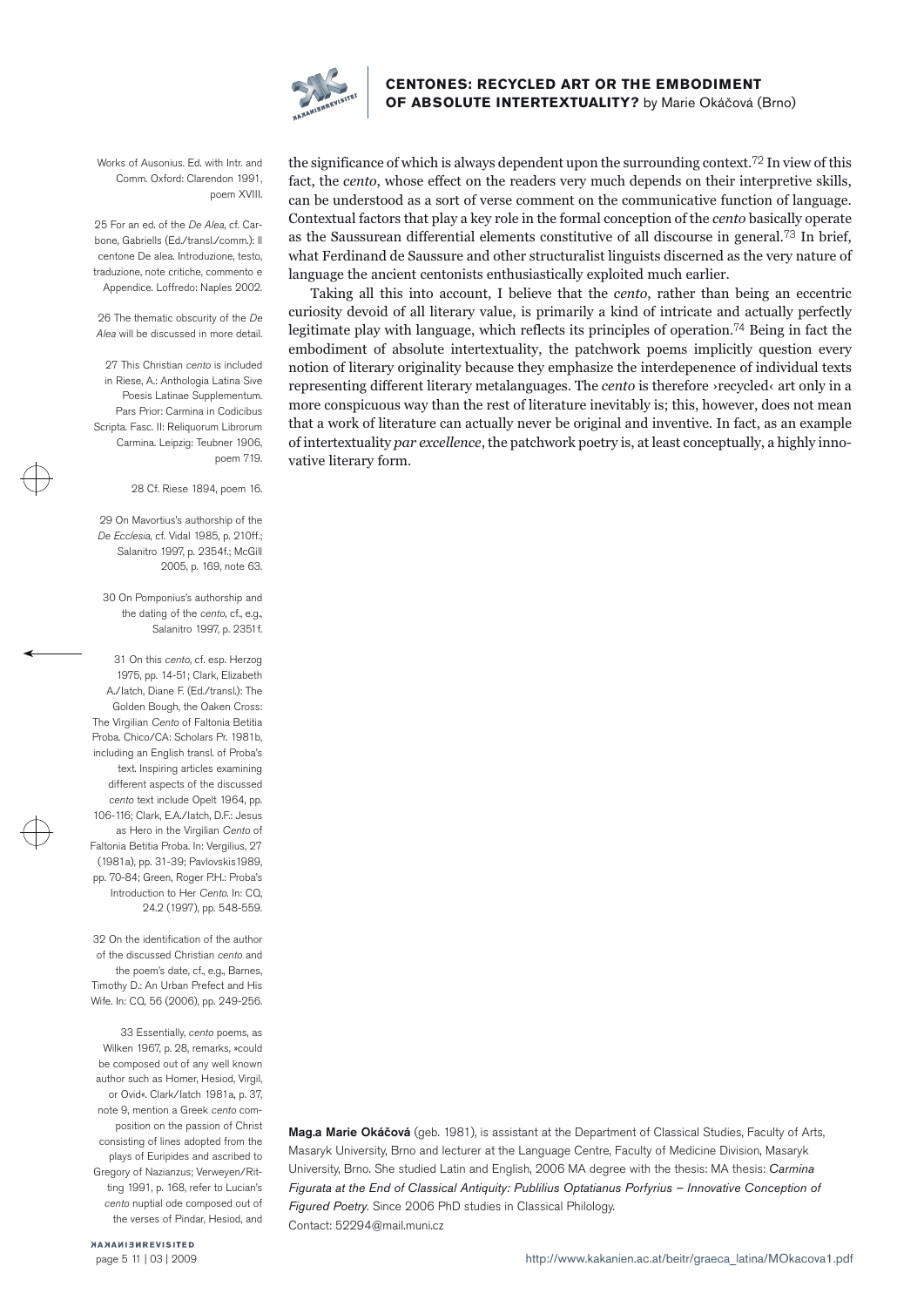

Works of Ausonius. Ed. with Intr. and Comm. Oxford: Clarendon 1991, poem XVIII

25 For an ed. of the De Alea, cf. Carbone, Gabriells (Ed./transl./comm.): Il centone De alea. Introduzione, testo, traduzione, note critiche, commento e Appendice. Loffredo: Naples 2002.

26 The thematic obscurity of the De Alea will be discussed in more detail.

27 This Christian cento is included in Riese, A.: Anthologia Latina Sive Poesis Latinae Supplementum. Pars Prior: Carmina in Codicibus Scripta. Fasc. II: Reliquorum Librorum Carmina. Leipzig: Teubner 1906, poem 719.

28 Cf. Riese 1894, poem 16.

29 On Mavortius's authorship of the De Ecclesia, cf. Vidal 1985, p. 210ff.; Salanitro 1997, p. 2354f.; McGill 2005, p. 169, note 63.

30 On Pomponius's authorship and the dating of the cento, cf., e.g., Salanitro 1997, p. 2351f.

31 On this cento, cf. esp. Herzog 1975, pp. 14-51; Clark, Elizabeth A./Iatch, Diane F. (Ed./transl.): The Golden Bough, the Oaken Cross: The Virgilian Cento of Faltonia Betitia Proba. Chico/CA: Scholars Pr. 1981b, including an English transl. of Proba's text. Inspiring articles examining different aspects of the discussed cento text include Opelt 1964, pp. 106-116; Clark, E.A./Iatch, D.F.: Jesus as Hero in the Virgilian Cento of Faltonia Betitia Proba. In: Vergilius, 27 (1981a), pp. 31-39; Pavlovskis1989, pp. 70-84; Green, Roger P.H.: Proba's Introduction to Her Cento. In: CQ, 24.2 (1997), pp. 548-559.

32 On the identification of the author of the discussed Christian cento and the poem's date, cf., e.g., Barnes, Timothy D.: An Urban Prefect and His Wife. In: CQ, 56 (2006), pp. 249-256.

33 Essentially, cento poems, as Wilken 1967, p. 28, remarks, »could be composed out of any well known author such as Homer, Hesiod, Virgil, or Ovid«. Clark/Iatch 1981a, p. 37, note 9, mention a Greek cento composition on the passion of Christ consisting of lines adopted from the plays of Euripides and ascribed to Gregory of Nazianzus; Verweyen/Ritting 1991, p. 168, refer to Lucian's cento nuptial ode composed out of the verses of Pindar, Hesiod, and

the significance of which is always dependent upon the surrounding context.<sup>72</sup> In view of this fact, the *cento*, whose effect on the readers very much depends on their interpretive skills, can be understood as a sort of vative literary form.

Mag.a Marie Okáčová (geb. 1981), is assistant at the Department of Classical Studies, Faculty of Arts, Masaryk University, Brno and lecturer at the Language Centre, Faculty of Medicine Division, Masaryk University, Brno. She studied Latin and English, 2006 MA degree with the thesis: MA thesis: Carmina Figurata at the End of Classical Antiquity: Publilius Optatianus Porfyrius – Innovative Conception of Figured Poetry. Since 2006 PhD studies in Classical Philology. Contact: 52294@mail.muni.cz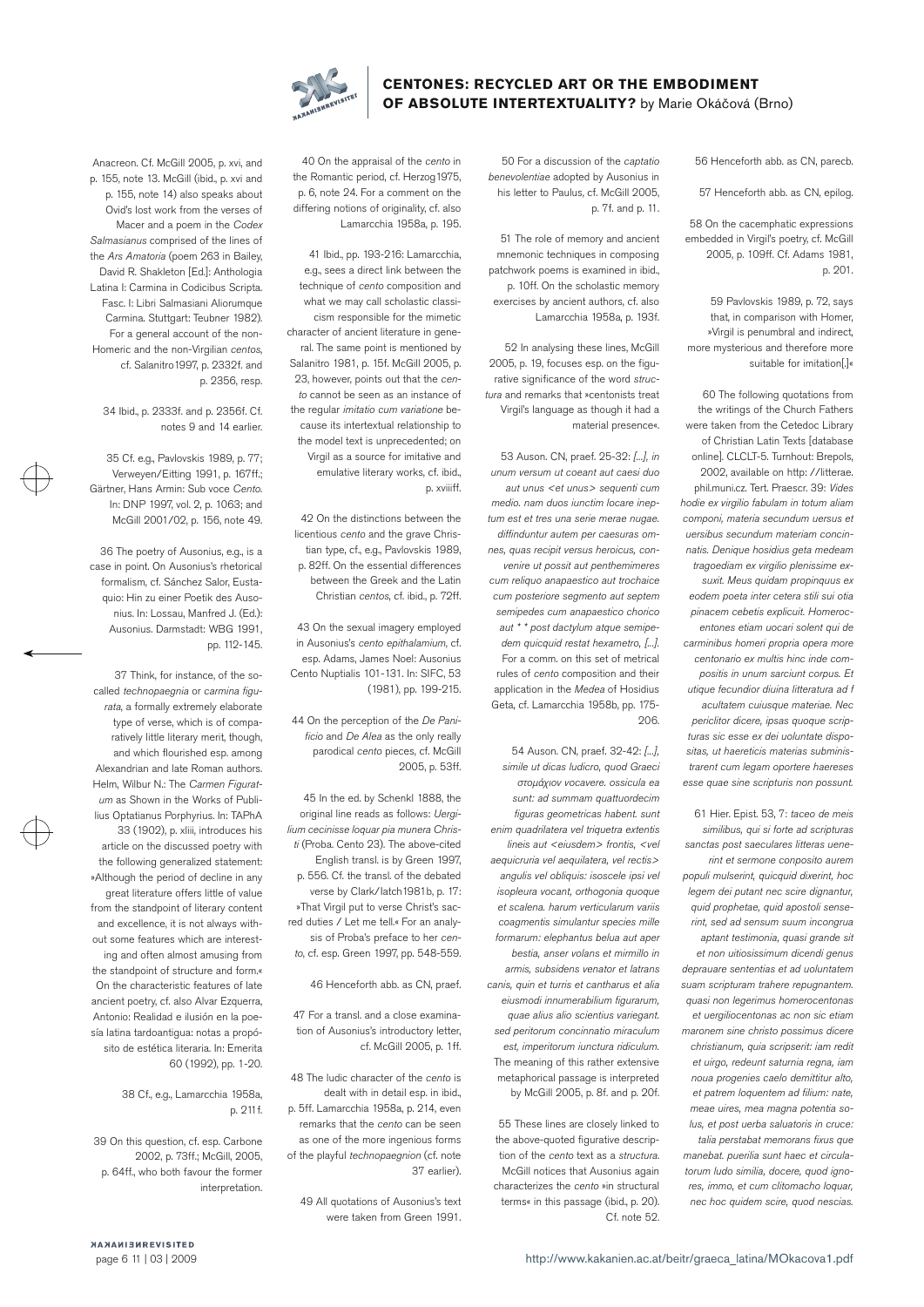

56 Henceforth abb. as CN, parecb.

57 Henceforth abb. as CN, epilog.

58 On the cacemphatic expressions embedded in Virgil's poetry, cf. McGill 2005, p. 109ff. Cf. Adams 1981, p. 201.

59 Pavlovskis 1989, p. 72, says that, in comparison with Homer, »Virgil is penumbral and indirect, more mysterious and therefore more suitable for imitation[.]«

60 The following quotations from the writings of the Church Fathers were taken from the Cetedoc Library of Christian Latin Texts [database online]. CLCLT-5. Turnhout: Brepols, 2002, available on http: //litterae. phil.muni.cz. Tert. Praescr. 39: Vides hodie ex virgilio fabulam in totum aliam componi, materia secundum uersus et uersibus secundum materiam concinnatis. Denique hosidius geta medeam tragoediam ex virgilio plenissime exsuxit. Meus quidam propinquus ex eodem poeta inter cetera stili sui otia pinacem cebetis explicuit. Homerocentones etiam uocari solent qui de carminibus homeri propria opera more centonario ex multis hinc inde compositis in unum sarciunt corpus. Et utique fecundior diuina litteratura ad f acultatem cuiusque materiae. Nec periclitor dicere, ipsas quoque scripturas sic esse ex dei uoluntate dispositas, ut haereticis materias subministrarent cum legam oportere haereses esse quae sine scripturis non possunt.

61 Hier. Epist. 53, 7: taceo de meis similibus, qui si forte ad scripturas sanctas post saeculares litteras uenerint et sermone conposito aurem populi mulserint, quicquid dixerint, hoc legem dei putant nec scire dignantur, quid prophetae, quid apostoli senserint, sed ad sensum suum incongrua aptant testimonia, quasi grande sit et non uitiosissimum dicendi genus deprauare sententias et ad uoluntatem suam scripturam trahere repugnantem. quasi non legerimus homerocentonas et uergiliocentonas ac non sic etiam maronem sine christo possimus dicere christianum, quia scripserit: iam redit et uirgo, redeunt saturnia regna, iam noua progenies caelo demittitur alto, et patrem loquentem ad filium: nate, meae uires, mea magna potentia solus, et post uerba saluatoris in cruce: talia perstabat memorans fixus que manebat. puerilia sunt haec et circulatorum ludo similia, docere, quod ignores, immo, et cum clitomacho loquar, nec hoc quidem scire, quod nescias.

50 For a discussion of the captatio benevolentiae adopted by Ausonius in his letter to Paulus, cf. McGill 2005, p. 7f. and p. 11.

51 The role of memory and ancient mnemonic techniques in composing patchwork poems is examined in ibid., p. 10ff. On the scholastic memory exercises by ancient authors, cf. also Lamarcchia 1958a, p. 193f.

52 In analysing these lines, McGill 2005, p. 19, focuses esp. on the figurative significance of the word structura and remarks that »centonists treat Virgil's language as though it had a material presence«.

53 Auson. CN, praef. 25-32: [...], in unum versum ut coeant aut caesi duo aut unus <et unus> sequenti cum medio. nam duos iunctim locare ineptum est et tres una serie merae nugae. diffinduntur autem per caesuras omnes, quas recipit versus heroicus, convenire ut possit aut penthemimeres cum reliquo anapaestico aut trochaice cum posteriore segmento aut septem semipedes cum anapaestico chorico aut \* \* post dactylum atque semipedem quicquid restat hexametro, [...]. For a comm. on this set of metrical rules of cento composition and their application in the Medea of Hosidius Geta, cf. Lamarcchia 1958b, pp. 175-  $206$ 

54 Auson. CN, praef. 32-42: [...], simile ut dicas ludicro, quod Graeci στομάχιον vocavere. ossicula ea sunt: ad summam quattuordecim figuras geometricas habent. sunt enim quadrilatera vel triquetra extentis lineis aut <eiusdem> frontis, <vel aequicruria vel aequilatera, vel rectis> angulis vel obliquis: isoscele ipsi vel isopleura vocant, orthogonia quoque et scalena. harum verticularum variis coagmentis simulantur species mille formarum: elephantus belua aut aper bestia, anser volans et mirmillo in armis, subsidens venator et latrans canis, quin et turris et cantharus et alia eiusmodi innumerabilium figurarum, quae alius alio scientius variegant. sed peritorum concinnatio miraculum est, imperitorum iunctura ridiculum. The meaning of this rather extensive metaphorical passage is interpreted by McGill 2005, p. 8f. and p. 20f.

55 These lines are closely linked to the above-quoted figurative description of the cento text as a structura. McGill notices that Ausonius again characterizes the cento »in structural terms« in this passage (ibid., p. 20). Cf. note 52.

40 On the appraisal of the cento in the Romantic period, cf. Herzog1975, p. 6, note 24. For a comment on the differing notions of originality, cf. also Lamarcchia 1958a, p. 195.

41 Ibid., pp. 193-216: Lamarcchia, e.g., sees a direct link between the technique of cento composition and what we may call scholastic classicism responsible for the mimetic character of ancient literature in general. The same point is mentioned by Salanitro 1981, p. 15f. McGill 2005, p. 23, however, points out that the cento cannot be seen as an instance of the regular *imitatio cum variatione* because its intertextual relationship to the model text is unprecedented; on Virgil as a source for imitative and emulative literary works, cf. ibid., p. xviiiff.

42 On the distinctions between the licentious cento and the grave Christian type, cf., e.g., Pavlovskis 1989, p. 82ff. On the essential differences between the Greek and the Latin Christian centos, cf. ibid., p. 72ff.

43 On the sexual imagery employed in Ausonius's cento epithalamium, cf. esp. Adams, James Noel: Ausonius Cento Nuptialis 101-131. In: SIFC, 53 (1981), pp. 199-215.

44 On the perception of the De Panificio and De Alea as the only really parodical cento pieces, cf. McGill 2005, p. 53ff.

45 In the ed. by Schenkl 1888, the original line reads as follows: Uergilium cecinisse loquar pia munera Christi (Proba. Cento 23). The above-cited English transl. is by Green 1997, p. 556. Cf. the transl. of the debated verse by Clark/Iatch1981b, p. 17: »That Virgil put to verse Christ's sacred duties / Let me tell.« For an analysis of Proba's preface to her cento, cf. esp. Green 1997, pp. 548-559.

46 Henceforth abb. as CN, praef.

47 For a transl. and a close examination of Ausonius's introductory letter, cf. McGill 2005, p. 1ff.

48 The ludic character of the cento is dealt with in detail esp. in ibid., p. 5ff. Lamarcchia 1958a, p. 214, even remarks that the cento can be seen as one of the more ingenious forms of the playful technopaegnion (cf. note 37 earlier).

49 All quotations of Ausonius's text were taken from Green 1991.

Anacreon. Cf. McGill 2005, p. xvi, and p. 155, note 13. McGill (ibid., p. xvi and p. 155, note 14) also speaks about Ovid's lost work from the verses of Macer and a poem in the Codex Salmasianus comprised of the lines of the Ars Amatoria (poem 263 in Bailey, David R. Shakleton [Ed.]: Anthologia Latina I: Carmina in Codicibus Scripta. Fasc. I: Libri Salmasiani Aliorumque Carmina. Stuttgart: Teubner 1982). For a general account of the non-Homeric and the non-Virgilian centos, cf. Salanitro1997, p. 2332f. and p. 2356, resp.

34 Ibid., p. 2333f. and p. 2356f. Cf. notes 9 and 14 earlier.

35 Cf. e.g., Pavlovskis 1989, p. 77; Verweyen/Eitting 1991, p. 167ff.; Gärtner, Hans Armin: Sub voce Cento. In: DNP 1997, vol. 2, p. 1063; and McGill 2001/02, p. 156, note 49.

36 The poetry of Ausonius, e.g., is a case in point. On Ausonius's rhetorical formalism, cf. Sánchez Salor, Eustaquio: Hin zu einer Poetik des Ausonius. In: Lossau, Manfred J. (Ed.): Ausonius. Darmstadt: WBG 1991, pp. 112-145.

37 Think, for instance, of the socalled technopaegnia or carmina figurata, a formally extremely elaborate type of verse, which is of comparatively little literary merit, though, and which flourished esp. among Alexandrian and late Roman authors. Helm, Wilbur N.: The Carmen Figuratum as Shown in the Works of Publilius Optatianus Porphyrius. In: TAPhA 33 (1902), p. xliii, introduces his article on the discussed poetry with the following generalized statement: »Although the period of decline in any great literature offers little of value from the standpoint of literary content and excellence, it is not always without some features which are interesting and often almost amusing from the standpoint of structure and form.« On the characteristic features of late ancient poetry, cf. also Alvar Ezquerra, Antonio: Realidad e ilusión en la poesía latina tardoantigua: notas a propósito de estética literaria. In: Emerita 60 (1992), pp. 1-20.

> 38 Cf., e.g., Lamarcchia 1958a, p. 211f.

39 On this question, cf. esp. Carbone 2002, p. 73ff.; McGill, 2005, p. 64ff., who both favour the former interpretation.